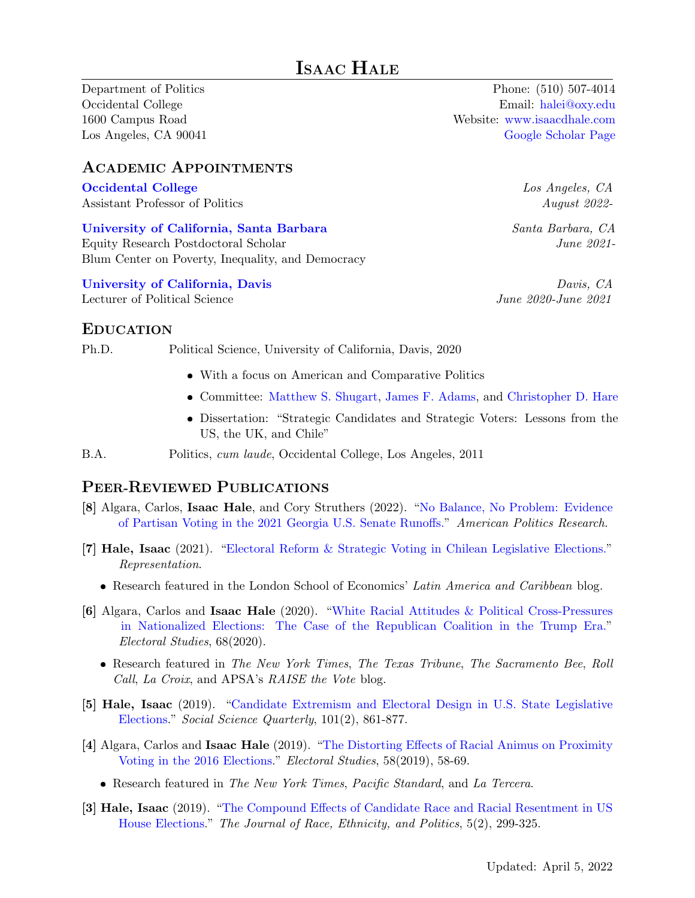Department of Politics Occidental College 1600 Campus Road Los Angeles, CA 90041

ACADEMIC APPOINTMENTS

[Occidental College](https://www.oxy.edu/academics/areas-study/politics) Assistant Professor of Politics

[University of California, Santa Barbara](https://www.blumcenter.ucsb.edu/) Equity Research Postdoctoral Scholar

Blum Center on Poverty, Inequality, and Democracy

[University of California, Davis](https://ps.ucdavis.edu//) Lecturer of Political Science

Phone: (510) 507-4014 Email: [halei@oxy.edu](mailto:halei@oxy.edu) Website: <www.isaacdhale.com> [Google Scholar Page](https://scholar.google.com/citations?user=-utYyHYAAAAJ)

> Los Angeles, CA August 2022-

Santa Barbara, CA June 2021-

Davis, CA June 2020-June 2021

### EDUCATION

Ph.D. Political Science, University of California, Davis, 2020

- With a focus on American and Comparative Politics
- Committee: [Matthew S. Shugart,](http://www.mshugart.net/) [James F. Adams,](https://ps.ucdavis.edu/people/jfadams) and [Christopher D. Hare](https://www.christopherdhare.com/)
- Dissertation: "Strategic Candidates and Strategic Voters: Lessons from the US, the UK, and Chile"
- B.A. Politics, cum laude, Occidental College, Los Angeles, 2011

#### PEER-REVIEWED PUBLICATIONS

- [8] Algara, Carlos, Isaac Hale, and Cory Struthers (2022). ["No Balance, No Problem: Evidence](https://doi.org/10.1177/1532673X211070819) [of Partisan Voting in the 2021 Georgia U.S. Senate Runoffs."](https://doi.org/10.1177/1532673X211070819) American Politics Research.
- [7] Hale, Isaac (2021). ["Electoral Reform & Strategic Voting in Chilean Legislative Elections."](https://doi.org/10.1080/00344893.2021.1964585) Representation.
	- Research featured in the London School of Economics' Latin America and Caribbean blog.
- [6] Algara, Carlos and Isaac Hale (2020). ["White Racial Attitudes & Political Cross-Pressures](https://www.sciencedirect.com/science/article/pii/S0261379420300901) [in Nationalized Elections: The Case of the Republican Coalition in the Trump Era."](https://www.sciencedirect.com/science/article/pii/S0261379420300901) Electoral Studies, 68(2020).
	- Research featured in The New York Times, The Texas Tribune, The Sacramento Bee, Roll Call, La Croix, and APSA's RAISE the Vote blog.
- [5] Hale, Isaac (2019). ["Candidate Extremism and Electoral Design in U.S. State Legislative](https://doi.org/10.1111/ssqu.12749) [Elections.](https://doi.org/10.1111/ssqu.12749)" Social Science Quarterly, 101(2), 861-877.
- [4] Algara, Carlos and Isaac Hale (2019). ["The Distorting Effects of Racial Animus on Proximity](https://www.sciencedirect.com/science/article/pii/S0261379418302774) [Voting in the 2016 Elections.](https://www.sciencedirect.com/science/article/pii/S0261379418302774)" Electoral Studies, 58(2019), 58-69.
	- Research featured in The New York Times, Pacific Standard, and La Tercera.
- [3] Hale, Isaac (2019). ["The Compound Effects of Candidate Race and Racial Resentment in US](https://www.cambridge.org/core/journals/journal-of-race-ethnicity-and-politics/article/compound-effects-of-candidate-race-and-racial-resentment-in-us-house-elections/5C502FFAE3D8AC0C797969D1A532D65A/share/d1ea576182cf3ad6b23a304c4374fce87aaf69cf) [House Elections.](https://www.cambridge.org/core/journals/journal-of-race-ethnicity-and-politics/article/compound-effects-of-candidate-race-and-racial-resentment-in-us-house-elections/5C502FFAE3D8AC0C797969D1A532D65A/share/d1ea576182cf3ad6b23a304c4374fce87aaf69cf)" The Journal of Race, Ethnicity, and Politics, 5(2), 299-325.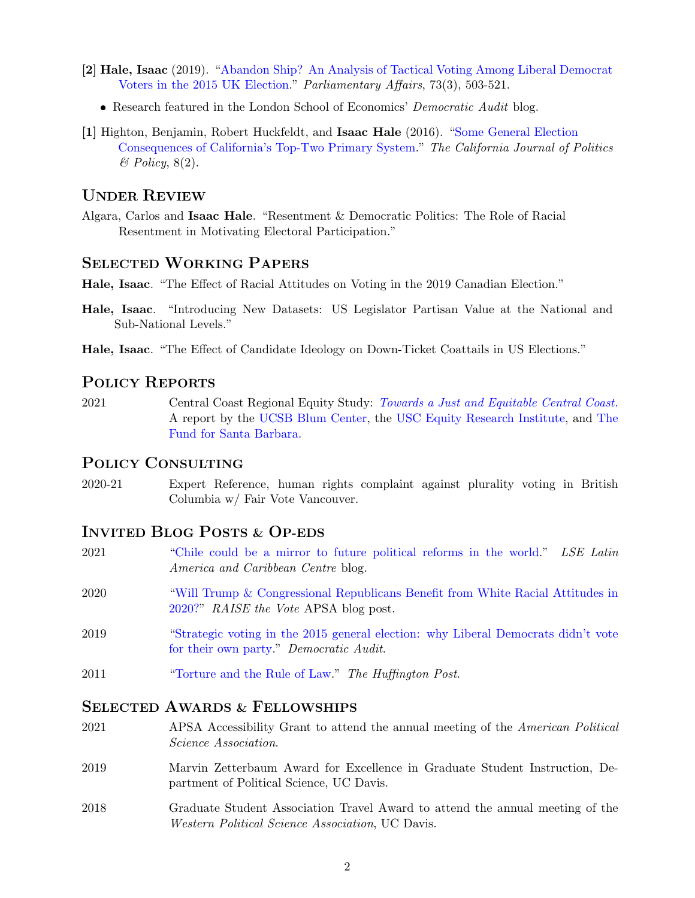- [2] Hale, Isaac (2019). ["Abandon Ship? An Analysis of Tactical Voting Among Liberal Democrat](https://academic.oup.com/pa/advance-article-abstract/doi/10.1093/pa/gsz007/5365507) [Voters in the 2015 UK Election.](https://academic.oup.com/pa/advance-article-abstract/doi/10.1093/pa/gsz007/5365507)" Parliamentary Affairs, 73(3), 503-521.
	- Research featured in the London School of Economics' Democratic Audit blog.
- [1] Highton, Benjamin, Robert Huckfeldt, and Isaac Hale (2016). ["Some General Election](https://escholarship.org/uc/item/5zt6b4r1) [Consequences of California's Top-Two Primary System.](https://escholarship.org/uc/item/5zt6b4r1)" The California Journal of Politics & Policy, 8(2).

### UNDER REVIEW

Algara, Carlos and Isaac Hale. "Resentment & Democratic Politics: The Role of Racial Resentment in Motivating Electoral Participation."

#### SELECTED WORKING PAPERS

Hale, Isaac. "The Effect of Racial Attitudes on Voting in the 2019 Canadian Election."

- Hale, Isaac. "Introducing New Datasets: US Legislator Partisan Value at the National and Sub-National Levels."
- Hale, Isaac. "The Effect of Candidate Ideology on Down-Ticket Coattails in US Elections."

#### POLICY REPORTS

2021 Central Coast Regional Equity Study: [Towards a Just and Equitable Central Coast.](https://centralcoastequity.org/regional-equity-study/) A report by the [UCSB Blum Center,](https://www.blumcenter.ucsb.edu/) the [USC Equity Research Institute,](https://dornsife.usc.edu/eri) and [The](https://fundforsantabarbara.org/) [Fund for Santa Barbara.](https://fundforsantabarbara.org/)

#### POLICY CONSULTING

2020-21 Expert Reference, human rights complaint against plurality voting in British Columbia w/ Fair Vote Vancouver.

#### INVITED BLOG POSTS & OP-EDS

- 2021 ["Chile could be a mirror to future political reforms in the world.](https://blogs.lse.ac.uk/latamcaribbean/2021/11/17/chile-could-be-a-mirror-to-future-political-reforms-in-the-world/)" LSE Latin America and Caribbean Centre blog.
- 2020 ["Will Trump & Congressional Republicans Benefit from White Racial Attitudes in](https://connect.apsanet.org/raisethevote/2020/07/22/will-trump-congressional-republicans-benefit-from-white-racial-attitudes-in-2020/) [2020?"](https://connect.apsanet.org/raisethevote/2020/07/22/will-trump-congressional-republicans-benefit-from-white-racial-attitudes-in-2020/) RAISE the Vote APSA blog post.
- 2019 ["Strategic voting in the 2015 general election: why Liberal Democrats didn't vote](https://tinyurl.com/yxluq74p) [for their own party.](https://tinyurl.com/yxluq74p)" Democratic Audit.
- 2011 ["Torture and the Rule of Law.](https://www.huffingtonpost.com/isaac-hale/torture-and-the-rule-of-l_b_814272.html)" The Huffington Post.

#### SELECTED AWARDS & FELLOWSHIPS

- 2021 APSA Accessibility Grant to attend the annual meeting of the American Political Science Association.
- 2019 Marvin Zetterbaum Award for Excellence in Graduate Student Instruction, Department of Political Science, UC Davis.
- 2018 Graduate Student Association Travel Award to attend the annual meeting of the Western Political Science Association, UC Davis.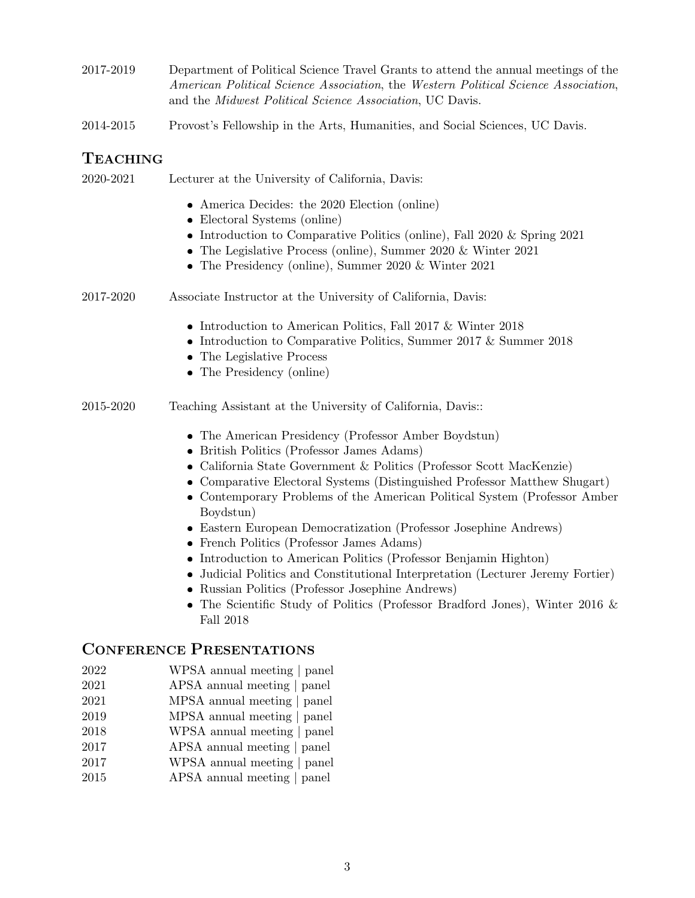- 2017-2019 Department of Political Science Travel Grants to attend the annual meetings of the American Political Science Association, the Western Political Science Association, and the Midwest Political Science Association, UC Davis.
- 2014-2015 Provost's Fellowship in the Arts, Humanities, and Social Sciences, UC Davis.

# TEACHING

| 2020-2021 | Lecturer at the University of California, Davis:                                                                                                                                                                                                                                                                                                                                                                                                                                                                                                                                                                                                                                                                                                                                             |
|-----------|----------------------------------------------------------------------------------------------------------------------------------------------------------------------------------------------------------------------------------------------------------------------------------------------------------------------------------------------------------------------------------------------------------------------------------------------------------------------------------------------------------------------------------------------------------------------------------------------------------------------------------------------------------------------------------------------------------------------------------------------------------------------------------------------|
|           | • America Decides: the 2020 Election (online)<br>• Electoral Systems (online)<br>• Introduction to Comparative Politics (online), Fall 2020 $\&$ Spring 2021<br>• The Legislative Process (online), Summer 2020 $&$ Winter 2021<br>• The Presidency (online), Summer 2020 $&$ Winter 2021                                                                                                                                                                                                                                                                                                                                                                                                                                                                                                    |
| 2017-2020 | Associate Instructor at the University of California, Davis:                                                                                                                                                                                                                                                                                                                                                                                                                                                                                                                                                                                                                                                                                                                                 |
|           | • Introduction to American Politics, Fall 2017 $&$ Winter 2018<br>• Introduction to Comparative Politics, Summer 2017 & Summer 2018<br>• The Legislative Process<br>• The Presidency (online)                                                                                                                                                                                                                                                                                                                                                                                                                                                                                                                                                                                                |
| 2015-2020 | Teaching Assistant at the University of California, Davis::                                                                                                                                                                                                                                                                                                                                                                                                                                                                                                                                                                                                                                                                                                                                  |
|           | • The American Presidency (Professor Amber Boydstun)<br>• British Politics (Professor James Adams)<br>• California State Government & Politics (Professor Scott MacKenzie)<br>$\bullet\,$ Comparative Electoral Systems (Distinguished Professor Matthew Shugart)<br>• Contemporary Problems of the American Political System (Professor Amber<br>Boydstun)<br>• Eastern European Democratization (Professor Josephine Andrews)<br>• French Politics (Professor James Adams)<br>• Introduction to American Politics (Professor Benjamin Highton)<br>• Judicial Politics and Constitutional Interpretation (Lecturer Jeremy Fortier)<br>Russian Politics (Professor Josephine Andrews)<br>• The Scientific Study of Politics (Professor Bradford Jones), Winter 2016 $\&$<br><b>Fall 2018</b> |

### CONFERENCE PRESENTATIONS

- 2022 WPSA annual meeting | panel
- 2021 APSA annual meeting | panel
- 2021 MPSA annual meeting | panel
- 2019 MPSA annual meeting | panel
- 2018 WPSA annual meeting | panel
- 2017 APSA annual meeting | panel
- 2017 WPSA annual meeting | panel
- 2015 APSA annual meeting | panel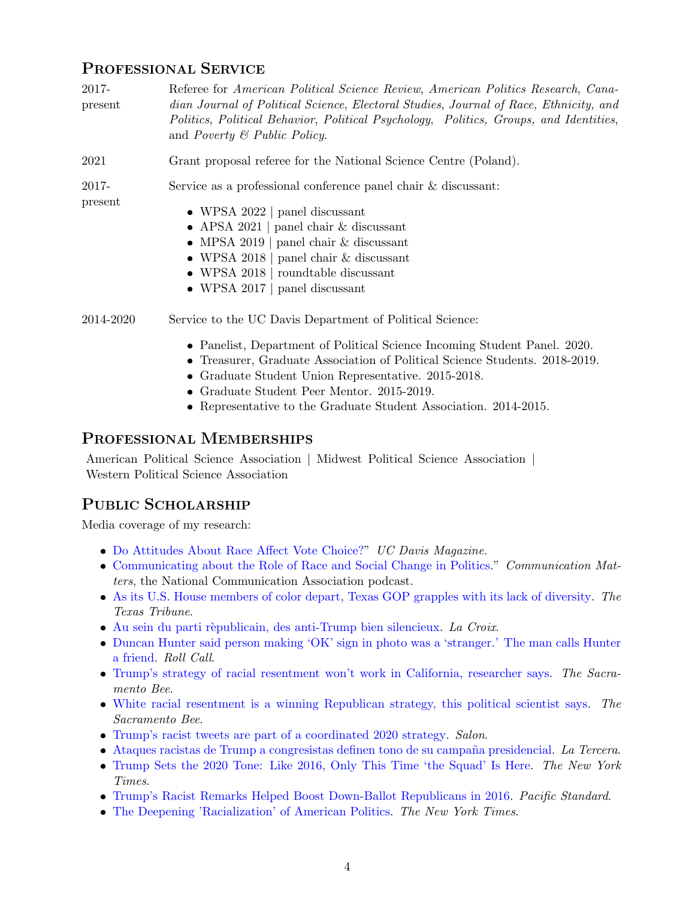# PROFESSIONAL SERVICE

| 2017-<br>present | Referee for American Political Science Review, American Politics Research, Cana-<br>dian Journal of Political Science, Electoral Studies, Journal of Race, Ethnicity, and<br>Politics, Political Behavior, Political Psychology, Politics, Groups, and Identities,<br>and <i>Poverty</i> $\mathcal C$ <i>Public Policy.</i> |
|------------------|-----------------------------------------------------------------------------------------------------------------------------------------------------------------------------------------------------------------------------------------------------------------------------------------------------------------------------|
| 2021             | Grant proposal referee for the National Science Centre (Poland).                                                                                                                                                                                                                                                            |
| 2017-<br>present | Service as a professional conference panel chair & discussant:<br>• WPSA 2022   panel discussant<br>• APSA 2021   panel chair $\&$ discussant<br>• MPSA 2019   panel chair $\&$ discussant<br>• WPSA 2018   panel chair $\&$ discussant<br>• WPSA 2018 $ $ roundtable discussant<br>• WPSA 2017   panel discussant          |
| 2014-2020        | Service to the UC Davis Department of Political Science:                                                                                                                                                                                                                                                                    |
|                  | • Panelist, Department of Political Science Incoming Student Panel. 2020.<br>• Treasurer, Graduate Association of Political Science Students. 2018-2019.                                                                                                                                                                    |

- Graduate Student Union Representative. 2015-2018.
- Graduate Student Peer Mentor. 2015-2019.
- Representative to the Graduate Student Association. 2014-2015.

# PROFESSIONAL MEMBERSHIPS

American Political Science Association | Midwest Political Science Association | Western Political Science Association

# PUBLIC SCHOLARSHIP

Media coverage of my research:

- [Do Attitudes About Race Affect Vote Choice?"](https://magazine.ucdavis.edu/do-attitudes-about-race-affect-vote-choice/) UC Davis Magazine.
- [Communicating about the Role of Race and Social Change in Politics.](https://natcompodcast.podbean.com/e/bonus-communicating-about-the-role-of-race-and-social-change-in-politics/)" Communication Matters, the National Communication Association podcast.
- [As its U.S. House members of color depart, Texas GOP grapples with its lack of diversity.](https://www.texastribune.org/2019/10/08/texas-2020-elections-all-white-gop-house-delegation/) The Texas Tribune.
- $\bullet$  Au sein du parti rèpublicain, des anti-Trump bien silencieux. La Croix.
- [Duncan Hunter said person making 'OK' sign in photo was a 'stranger.' The man calls Hunter](https://tinyurl.com/y3ksxsjn) [a friend.](https://tinyurl.com/y3ksxsjn) Roll Call.
- [Trump's strategy of racial resentment won't work in California, researcher says.](https://tinyurl.com/y3ssqw3y) The Sacramento Bee.
- [White racial resentment is a winning Republican strategy, this political scientist says.](https://tinyurl.com/y5vrkrxb) The Sacramento Bee.
- [Trump's racist tweets are part of a coordinated 2020 strategy.](https://tinyurl.com/y5yz9wem) Salon.
- Ataques racistas de Trump a congresistas definen tono de su campaña presidencial. La Tercera.
- [Trump Sets the 2020 Tone: Like 2016, Only This Time 'the Squad' Is Here.](https://nyti.ms/2XUY7Xg) The New York Times.
- [Trump's Racist Remarks Helped Boost Down-Ballot Republicans in 2016.](https://tinyurl.com/yynrxtlc) Pacific Standard.
- [The Deepening 'Racialization' of American Politics.](https://nyti.ms/2IOsZqq) The New York Times.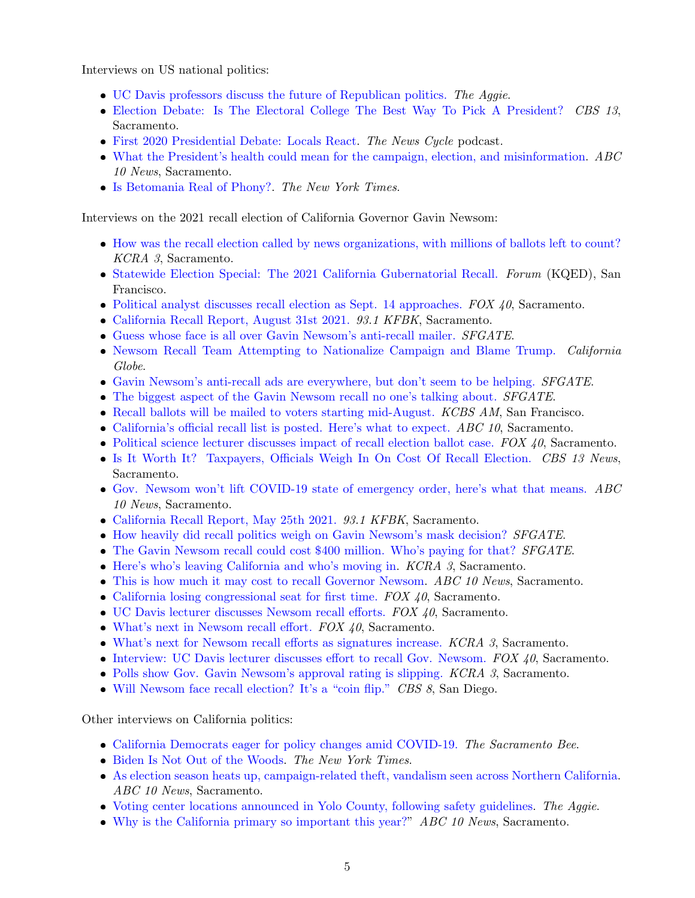Interviews on US national politics:

- [UC Davis professors discuss the future of Republican politics.](https://theaggie.org/2021/01/15/uc-davis-professors-discuss-the-future-of-republican-politics) The Aggie.
- [Election Debate: Is The Electoral College The Best Way To Pick A President?](https://sacramento.cbslocal.com/2020/12/08/election-debate-is-the-electoral-college-the-best-way-to-pick-a-president/) CBS 13, Sacramento.
- [First 2020 Presidential Debate: Locals React.](http://www.bluedevilhub.com/2020/10/05/first-2020-presidential-debate-locals-react/) The News Cycle podcast.
- [What the President's health could mean for the campaign, election, and misinformation.](https://www.abc10.com/article/news/health/coronavirus/what-the-presidents-health-could-mean-for-the-campaign-election-and-misinformation/103-b437506e-184d-422b-9a31-d5f495298f07) ABC 10 News, Sacramento.
- [Is Betomania Real of Phony?.](https://www.nytimes.com/2019/03/20/opinion/beto-presidential-campaign.html) The New York Times.

Interviews on the 2021 recall election of California Governor Gavin Newsom:

- [How was the recall election called by news organizations, with millions of ballots left to count?](https://www.kcra.com/article/how-the-recall-election-called-ballots-left-to-count/37627604) KCRA 3, Sacramento.
- [Statewide Election Special: The 2021 California Gubernatorial Recall.](https://www.kqed.org/forum/2010101885507/statewide-election-special-the-2021-california-gubernatorial-recall-2) Forum (KQED), San Francisco.
- [Political analyst discusses recall election as Sept. 14 approaches.](https://fox40.com/morning/political-analyst-discusses-recall-election-as-sept-14-approaches/) FOX 40, Sacramento.
- [California Recall Report, August 31st 2021.](https://github.com/isaacdhale/personal_site/raw/master/audio/KFBK_08_31_2021.mp3) 93.1 KFBK, Sacramento.
- [Guess whose face is all over Gavin Newsom's anti-recall mailer.](https://www.sfgate.com/gavin-newsom-recall/article/Trump-Gavin-Newsom-mailer-Republican-ads-voting-16408553.php) SFGATE.
- [Newsom Recall Team Attempting to Nationalize Campaign and Blame Trump.](https://californiaglobe.com/section-2/newsom-recall-team-attempting-to-nationalize-campaign-and-blame-trump/) California Globe.
- [Gavin Newsom's anti-recall ads are everywhere, but don't seem to be helping.](https://www.sfgate.com/gavin-newsom-recall/article/Gavin-Newsom-recall-ad-Republicans-candidate-Calif-16370247.php) *SFGATE*.
- [The biggest aspect of the Gavin Newsom recall no one's talking about.](https://www.sfgate.com/gavin-newsom-recall/article/Gavin-Newsom-recall-candidates-who-ballot-Democrat-16342862.php) *SFGATE*.
- [Recall ballots will be mailed to voters starting mid-August.](https://omny.fm/shows/kcbsam-on-demand/recall-ballots-will-be-mailed-to-voters-starting-m) KCBS AM, San Francisco.
- [California's official recall list is posted. Here's what to expect.](https://youtu.be/Fel4EloMYb8) ABC 10, Sacramento.
- [Political science lecturer discusses impact of recall election ballot case.](https://fox40.com/morning/political-science-lecturer-discusses-impact-of-recall-election-ballot-case/)  $FOX$  40, Sacramento.
- [Is It Worth It? Taxpayers, Officials Weigh In On Cost Of Recall Election.](https://gooddaysacramento.cbslocal.com/2021/06/11/taxpayers-cost-recall-newsom-officials-voters/) CBS 13 News, Sacramento.
- [Gov. Newsom won't lift COVID-19 state of emergency order, here's what that means.](https://www.abc10.com/article/news/health/coronavirus/newsom-covid-19-state-emergency-order/103-df8261d3-59b0-43a9-80ff-d973c9114978)  $ABC$ 10 News, Sacramento.
- [California Recall Report, May 25th 2021.](https://github.com/isaacdhale/personal_site/raw/master/audio/KFBK.mp3) 93.1 KFBK, Sacramento.
- [How heavily did recall politics weigh on Gavin Newsom's mask decision?](https://www.sfgate.com/politics/article/Gavin-Newsom-recall-mask-mandate-CDC-June-15-COVID-16183415.php) *SFGATE*.
- [The Gavin Newsom recall could cost](https://www.sfgate.com/politics/article/2021-05-Gavin-Newsom-recall-costs-who-pays-expense-16160429.php) \$400 million. Who's paying for that? *SFGATE*.
- [Here's who's leaving California and who's moving in.](https://www.kcra.com/article/california-leaving-whos-moving-in/36358172) KCRA 3, Sacramento.
- [This is how much it may cost to recall Governor Newsom.](https://www.abc10.com/article/news/politics/newsom-recall-cost-california-governor/103-2f285ae0-3eda-4d43-b4f6-48e83ac43c70) ABC 10 News, Sacramento.
- [California losing congressional seat for first time.](https://fox40.com/news/california-connection/california-losing-congressional-seat-for-first-time/)  $FOX \nleq 40$ , Sacramento.
- [UC Davis lecturer discusses Newsom recall efforts.](https://fox40.com/morning/uc-davis-lecturer-discusses-newsom-recall-efforts/) FOX 40, Sacramento.
- [What's next in Newsom recall effort.](https://fox40.com/news/california-connection/whats-next-in-newsom-recall-effort/) FOX 40, Sacramento.
- [What's next for Newsom recall efforts as signatures increase.](https://www.kcra.com/article/whats-next-gavin-newsom-recall-efforts/35774037) KCRA 3, Sacramento.
- $\bullet$  [Interview: UC Davis lecturer discusses effort to recall Gov. Newsom.](https://fox40.com/morning/interview-uc-davis-lecturer-discusses-effort-to-recall-gov-newsom/) FOX 40, Sacramento.
- [Polls show Gov. Gavin Newsom's approval rating is slipping.](https://www.kcra.com/article/polls-show-gov-gavin-newsoms-approval-rating-slipping/35435141) KCRA 3, Sacramento.
- [Will Newsom face recall election? It's a "coin flip."](https://www.cbs8.com/article/news/politics/will-newsom-face-recall/103-bd147f68-3eb7-405f-9141-1779222752b1?fbclid=IwAR2zeT22NE_MKyavAA3d1Afq-d9JVTUKjlxYYKByMGUPKRaZp4xfWgO11Us) CBS 8, San Diego.

Other interviews on California politics:

- [California Democrats eager for policy changes amid COVID-19.](https://www.sacbee.com/article247950105.html) The Sacramento Bee.
- [Biden Is Not Out of the Woods.](https://nyti.ms/3jWSW5b) The New York Times.
- [As election season heats up, campaign-related theft, vandalism seen across Northern California.](https://www.abc10.com/article/news/politics/as-election-season-heats-up-an-increase-in-campaign-related-theft-vandalism-seen-across-northern-california/103-d7a9ca98-6a01-437b-a81e-4c4596f0b1c1) ABC 10 News, Sacramento.
- [Voting center locations announced in Yolo County, following safety guidelines.](https://tinyurl.com/y5e93zpu) The Aggie.
- [Why is the California primary so important this year?"](https://tinyurl.com/y4xe3hke) ABC 10 News, Sacramento.